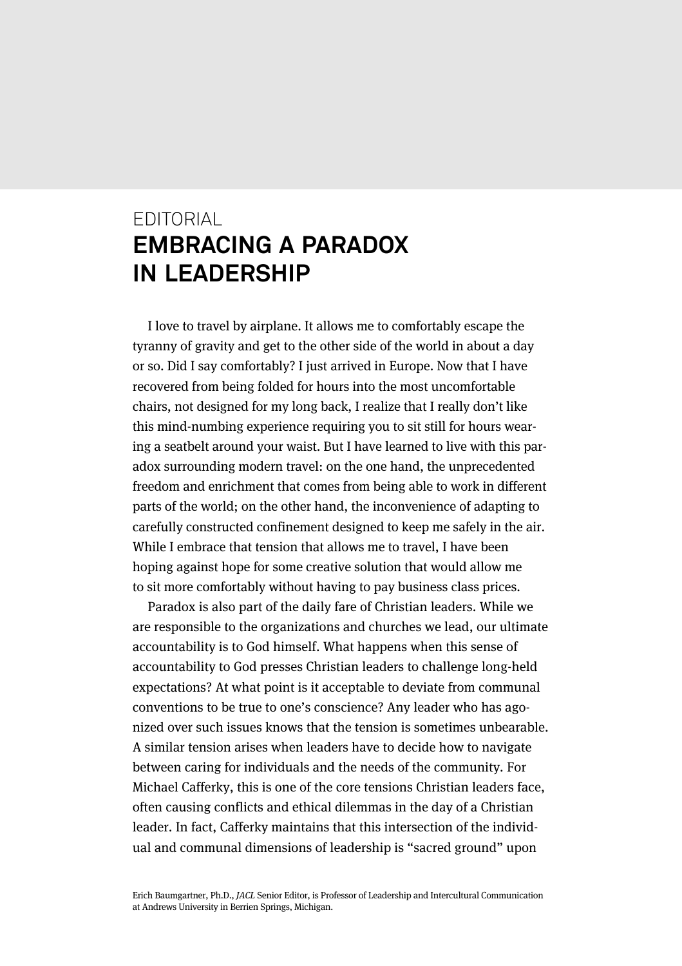## EDITORIAL **EMBRACING A PARADOX IN LEADERSHIP**

I love to travel by airplane. It allows me to comfortably escape the tyranny of gravity and get to the other side of the world in about a day or so. Did I say comfortably? I just arrived in Europe. Now that I have recovered from being folded for hours into the most uncomfortable chairs, not designed for my long back, I realize that I really don't like this mind-numbing experience requiring you to sit still for hours wearing a seatbelt around your waist. But I have learned to live with this paradox surrounding modern travel: on the one hand, the unprecedented freedom and enrichment that comes from being able to work in different parts of the world; on the other hand, the inconvenience of adapting to carefully constructed confinement designed to keep me safely in the air. While I embrace that tension that allows me to travel, I have been hoping against hope for some creative solution that would allow me to sit more comfortably without having to pay business class prices.

Paradox is also part of the daily fare of Christian leaders. While we are responsible to the organizations and churches we lead, our ultimate accountability is to God himself. What happens when this sense of accountability to God presses Christian leaders to challenge long-held expectations? At what point is it acceptable to deviate from communal conventions to be true to one's conscience? Any leader who has agonized over such issues knows that the tension is sometimes unbearable. A similar tension arises when leaders have to decide how to navigate between caring for individuals and the needs of the community. For Michael Cafferky, this is one of the core tensions Christian leaders face, often causing conflicts and ethical dilemmas in the day of a Christian leader. In fact, Cafferky maintains that this intersection of the individual and communal dimensions of leadership is "sacred ground" upon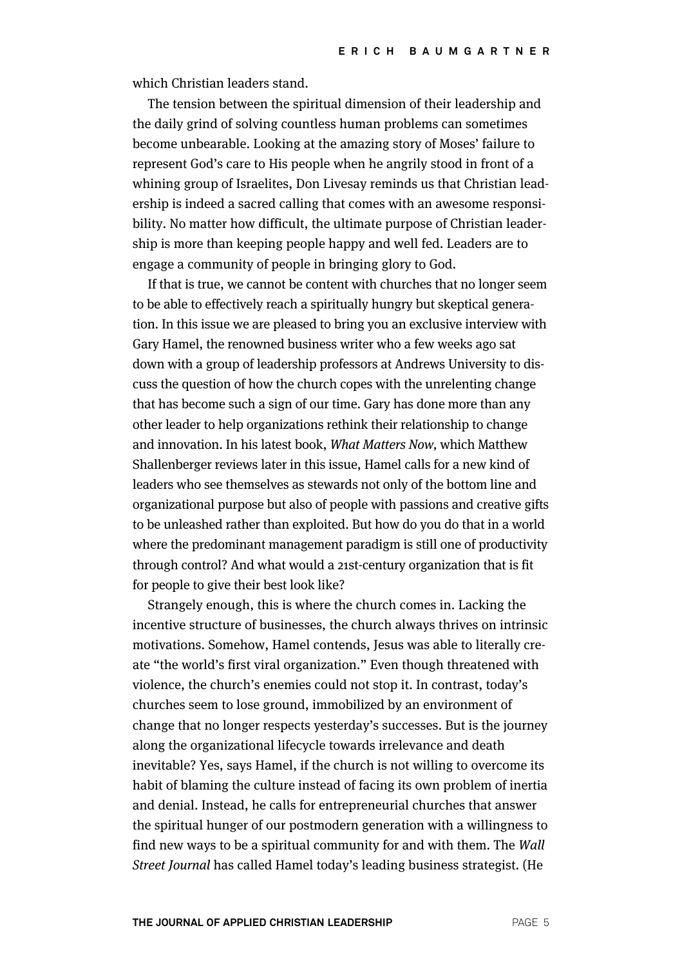which Christian leaders stand.

The tension between the spiritual dimension of their leadership and the daily grind of solving countless human problems can sometimes become unbearable. Looking at the amazing story of Moses' failure to represent God's care to His people when he angrily stood in front of a whining group of Israelites, Don Livesay reminds us that Christian leadership is indeed a sacred calling that comes with an awesome responsibility. No matter how difficult, the ultimate purpose of Christian leadership is more than keeping people happy and well fed. Leaders are to engage a community of people in bringing glory to God.

If that is true, we cannot be content with churches that no longer seem to be able to effectively reach a spiritually hungry but skeptical generation. In this issue we are pleased to bring you an exclusive interview with Gary Hamel, the renowned business writer who a few weeks ago sat down with a group of leadership professors at Andrews University to discuss the question of how the church copes with the unrelenting change that has become such a sign of our time. Gary has done more than any other leader to help organizations rethink their relationship to change and innovation. In his latest book, What Matters Now, which Matthew Shallenberger reviews later in this issue, Hamel calls for a new kind of leaders who see themselves as stewards not only of the bottom line and organizational purpose but also of people with passions and creative gifts to be unleashed rather than exploited. But how do you do that in a world where the predominant management paradigm is still one of productivity through control? And what would a 21st-century organization that is fit for people to give their best look like?

Strangely enough, this is where the church comes in. Lacking the incentive structure of businesses, the church always thrives on intrinsic motivations. Somehow, Hamel contends, Jesus was able to literally create "the world's first viral organization." Even though threatened with violence, the church's enemies could not stop it. In contrast, today's churches seem to lose ground, immobilized by an environment of change that no longer respects yesterday's successes. But is the journey along the organizational lifecycle towards irrelevance and death inevitable? Yes, says Hamel, if the church is not willing to overcome its habit of blaming the culture instead of facing its own problem of inertia and denial. Instead, he calls for entrepreneurial churches that answer the spiritual hunger of our postmodern generation with a willingness to find new ways to be a spiritual community for and with them. The Wall Street Journal has called Hamel today's leading business strategist. (He